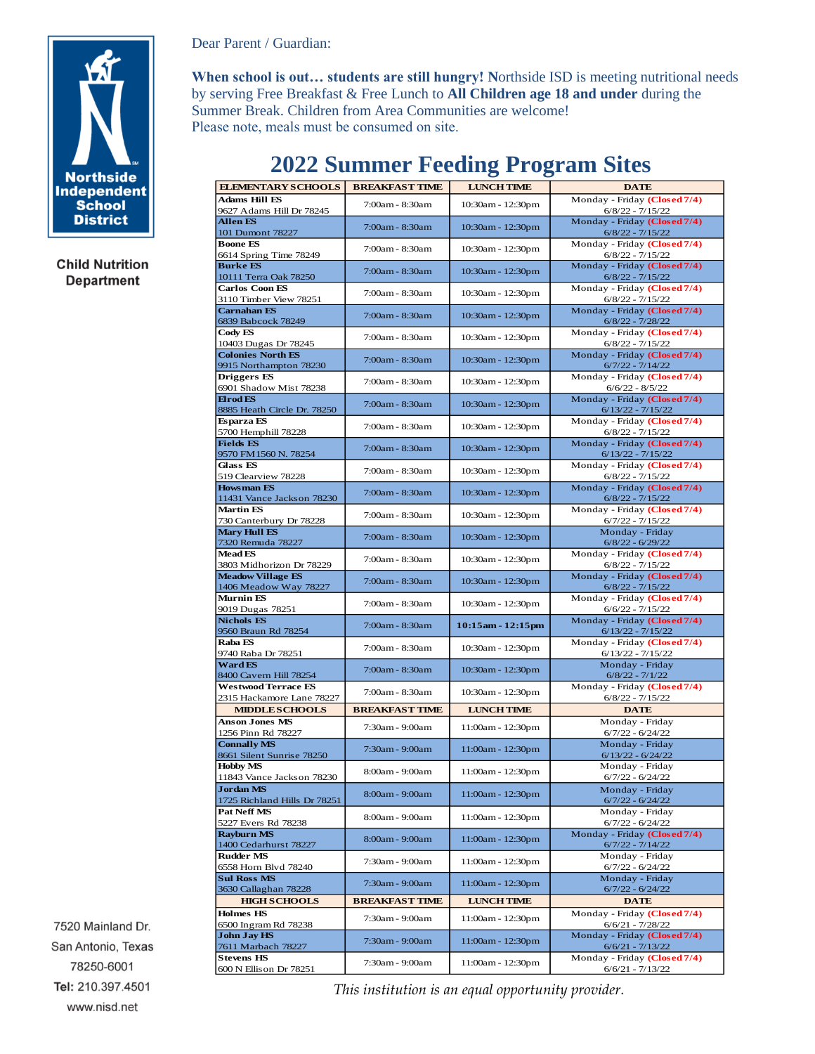

**Child Nutrition Department** 

Dear Parent / Guardian:

**When school is out… students are still hungry! N**orthside ISD is meeting nutritional needs by serving Free Breakfast & Free Lunch to **All Children age 18 and under** during the Summer Break. Children from Area Communities are welcome! Please note, meals must be consumed on site.

| <b>ELEMENTARY SCHOOLS</b>                               | <b>BREAKFAST TIME</b> | <b>LUNCH TIME</b> | <b>DATE</b>                                         |  |
|---------------------------------------------------------|-----------------------|-------------------|-----------------------------------------------------|--|
| <b>Adams Hill ES</b><br>9627 Adams Hill Dr 78245        | 7:00am - 8:30am       | 10:30am - 12:30pm | Monday - Friday (Closed 7/4)<br>$6/8/22 - 7/15/22$  |  |
| <b>Allen ES</b><br>101 Dumont 78227                     | 7:00am - 8:30am       | 10:30am - 12:30pm | Monday - Friday (Closed 7/4)<br>$6/8/22 - 7/15/22$  |  |
| <b>Boone ES</b><br>6614 Spring Time 78249               | 7:00am - 8:30am       | 10:30am - 12:30pm | Monday - Friday (Closed 7/4)<br>$6/8/22 - 7/15/22$  |  |
| <b>Burke ES</b><br>10111 Terra Oak 78250                | 7:00am - 8:30am       | 10:30am - 12:30pm | Monday - Friday (Closed 7/4)<br>$6/8/22 - 7/15/22$  |  |
| <b>Carlos Coon ES</b><br>3110 Timber View 78251         | 7:00am - 8:30am       | 10:30am - 12:30pm | Monday - Friday (Closed 7/4)<br>$6/8/22 - 7/15/22$  |  |
| <b>Carnahan ES</b><br>6839 Babcock 78249                | 7:00am - 8:30am       | 10:30am - 12:30pm | Monday - Friday (Closed 7/4)<br>$6/8/22 - 7/28/22$  |  |
| Cody ES                                                 | 7:00am - 8:30am       | 10:30am - 12:30pm | Monday - Friday (Closed 7/4)<br>$6/8/22 - 7/15/22$  |  |
| 10403 Dugas Dr 78245<br><b>Colonies North ES</b>        | 7:00am - 8:30am       | 10:30am - 12:30pm | Monday - Friday (Closed 7/4)                        |  |
| 9915 Northampton 78230<br><b>Driggers ES</b>            | 7:00am - 8:30am       | 10:30am - 12:30pm | $6/7/22 - 7/14/22$<br>Monday - Friday (Closed 7/4)  |  |
| 6901 Shadow Mist 78238<br>Elrod <sub>ES</sub>           | 7:00am - 8:30am       | 10:30am - 12:30pm | $6/6/22 - 8/5/22$<br>Monday - Friday (Closed 7/4)   |  |
| 8885 Heath Circle Dr. 78250<br>Esparza ES               | 7:00am - 8:30am       | 10:30am - 12:30pm | $6/13/22 - 7/15/22$<br>Monday - Friday (Closed 7/4) |  |
| 5700 Hemphill 78228<br><b>Fields ES</b>                 | 7:00am - 8:30am       | 10:30am - 12:30pm | $6/8/22 - 7/15/22$<br>Monday - Friday (Closed 7/4)  |  |
| 9570 FM1560 N. 78254<br><b>Glass ES</b>                 |                       |                   | $6/13/22 - 7/15/22$<br>Monday - Friday (Closed 7/4) |  |
| 519 Clearview 78228<br><b>Howsman ES</b>                | 7:00am - 8:30am       | 10:30am - 12:30pm | $6/8/22 - 7/15/22$<br>Monday - Friday (Closed 7/4)  |  |
| 11431 Vance Jackson 78230<br><b>Martin ES</b>           | 7:00am - 8:30am       | 10:30am - 12:30pm | $6/8/22 - 7/15/22$<br>Monday - Friday (Closed 7/4)  |  |
| 730 Canterbury Dr 78228<br><b>Mary Hull ES</b>          | 7:00am - 8:30am       | 10:30am - 12:30pm | $6/7/22 - 7/15/22$<br>Monday - Friday               |  |
| 7320 Remuda 78227<br><b>Mead FS</b>                     | 7:00am - 8:30am       | 10:30am - 12:30pm | $6/8/22 - 6/29/22$                                  |  |
| 3803 Midhorizon Dr 78229                                | 7:00am - 8:30am       | 10:30am - 12:30pm | Monday - Friday (Closed 7/4)<br>$6/8/22 - 7/15/22$  |  |
| <b>Meadow Village ES</b><br>1406 Meadow Way 78227       | 7:00am - 8:30am       | 10:30am - 12:30pm | Monday - Friday (Closed 7/4)<br>$6/8/22 - 7/15/22$  |  |
| Murnin ES<br>9019 Dugas 78251                           | 7:00am - 8:30am       | 10:30am - 12:30pm | Monday - Friday (Closed 7/4)<br>$6/6/22 - 7/15/22$  |  |
| <b>Nichols ES</b><br>9560 Braun Rd 78254                | 7:00am - 8:30am       | 10:15am - 12:15pm | Monday - Friday (Closed 7/4)<br>$6/13/22 - 7/15/22$ |  |
| Raba ES<br>9740 Raba Dr 78251                           | 7:00am - 8:30am       | 10:30am - 12:30pm | Monday - Friday (Closed 7/4)<br>$6/13/22 - 7/15/22$ |  |
| <b>Ward ES</b><br>8400 Cavern Hill 78254                | 7:00am - 8:30am       | 10:30am - 12:30pm | Monday - Friday<br>$6/8/22 - 7/1/22$                |  |
| <b>Westwood Terrace ES</b><br>2315 Hackamore Lane 78227 | 7:00am - 8:30am       | 10:30am - 12:30pm | Monday - Friday (Closed 7/4)<br>$6/8/22 - 7/15/22$  |  |
| <b>MIDDLE SCHOOLS</b>                                   | <b>BREAKFAST TIME</b> | <b>LUNCH TIME</b> | <b>DATE</b>                                         |  |
| <b>Anson Jones MS</b><br>1256 Pinn Rd 78227             | 7:30am - 9:00am       | 11:00am - 12:30pm | Monday - Friday<br>$6/7/22 - 6/24/22$               |  |
| <b>Connally MS</b><br>8661 Silent Sunrise 78250         | 7:30am - 9:00am       | 11:00am - 12:30pm | Monday - Friday<br>$6/13/22 - 6/24/22$              |  |
| <b>Hobby MS</b><br>11843 Vance Jackson 78230            | 8:00am - 9:00am       | 11:00am - 12:30pm | Monday - Friday<br>$6/7/22 - 6/24/22$               |  |
| <b>Jordan MS</b><br>1725 Richland Hills Dr 78251        | 8:00am - 9:00am       | 11:00am - 12:30pm | Monday - Friday<br>$6/7/22 - 6/24/22$               |  |
| Pat Neff MS<br>5227 Evers Rd 78238                      | 8:00am - 9:00am       | 11:00am - 12:30pm | Monday - Friday<br>$6/7/22 - 6/24/22$               |  |
| <b>Rayburn MS</b><br>1400 Cedarhurst 78227              | 8:00am - 9:00am       | 11:00am - 12:30pm | Monday - Friday (Closed 7/4)<br>$6/7/22 - 7/14/22$  |  |
| <b>Rudder MS</b><br>6558 Horn Blvd 78240                | 7:30am - 9:00am       | 11:00am - 12:30pm | Monday - Friday<br>$6/7/22 - 6/24/22$               |  |
| <b>Sul Ross MS</b><br>3630 Callaghan 78228              | 7:30am - 9:00am       | 11:00am - 12:30pm | Monday - Friday<br>$6/7/22 - 6/24/22$               |  |
| <b>HIGH S CHOOLS</b>                                    | <b>BREAKFAST TIME</b> | <b>LUNCH TIME</b> | <b>DATE</b>                                         |  |
| <b>Holmes HS</b><br>6500 Ingram Rd 78238                | 7:30am - 9:00am       | 11:00am - 12:30pm | Monday - Friday (Closed 7/4)<br>$6/6/21 - 7/28/22$  |  |
| <b>John Jay HS</b><br>7611 Marbach 78227                | 7:30am - 9:00am       | 11:00am - 12:30pm | Monday - Friday (Closed 7/4)<br>$6/6/21 - 7/13/22$  |  |
| <b>Stevens HS</b><br>600 N Ellison Dr 78251             | 7:30am - 9:00am       | 11:00am - 12:30pm | Monday - Friday (Closed 7/4)<br>$6/6/21 - 7/13/22$  |  |

## **2022 Summer Feeding Program Sites**

7520 Mainland Dr. San Antonio, Texas 78250-6001 Tel: 210.397.4501 www.nisd.net

*This institution is an equal opportunity provider.*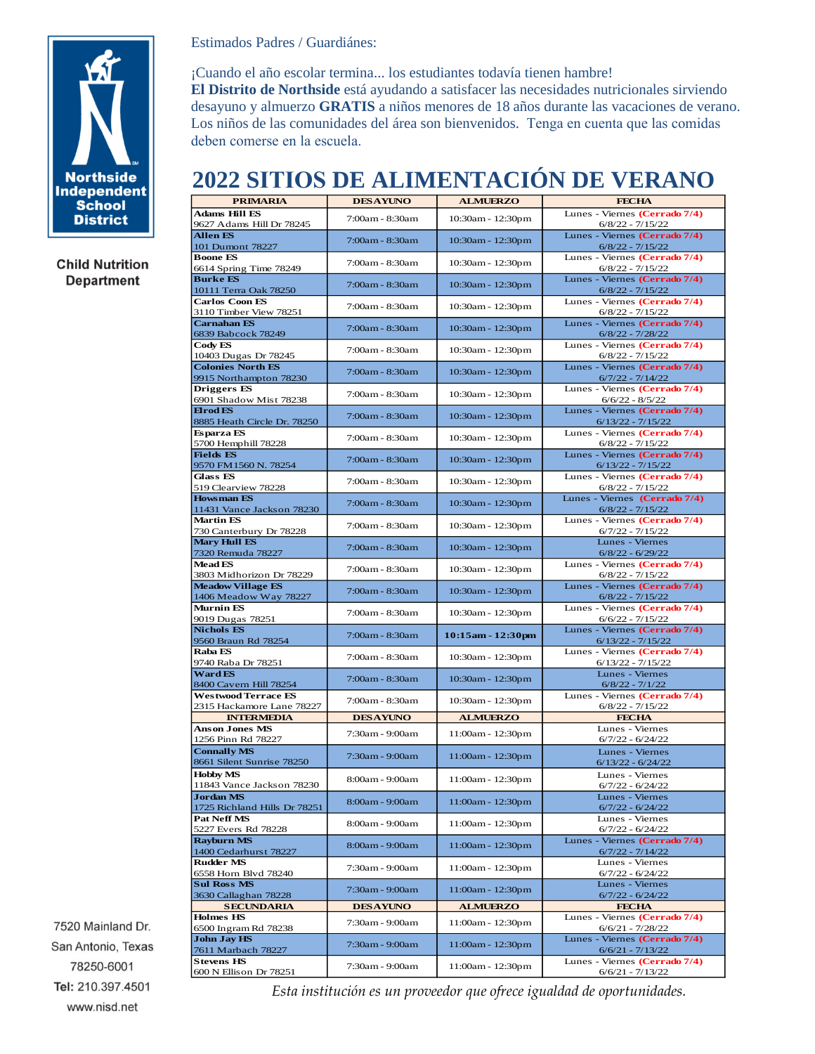

**Child Nutrition Department** 

Estimados Padres / Guardiánes:

¡Cuando el año escolar termina... los estudiantes todavía tienen hambre! **El Distrito de Northside** está ayudando a satisfacer las necesidades nutricionales sirviendo desayuno y almuerzo **GRATIS** a niños menores de 18 años durante las vacaciones de verano. Los niños de las comunidades del área son bienvenidos. Tenga en cuenta que las comidas deben comerse en la escuela.

## **2022 SITIOS DE ALIMENTACIÓN DE VERANO**

| <b>AVAA DIITIOD DE HEEMEER HIRCION DE</b> |                 |                   | , <b>, , , , , , , , , , , ,</b>      |
|-------------------------------------------|-----------------|-------------------|---------------------------------------|
| <b>PRIMARIA</b>                           | <b>DESAYUNO</b> | <b>ALMUERZO</b>   | <b>FECHA</b>                          |
| <b>Adams Hill ES</b>                      |                 |                   | Lunes - Viernes (Cerrado 7/4)         |
| 9627 Adams Hill Dr 78245                  | 7:00am - 8:30am | 10:30am - 12:30pm | $6/8/22 - 7/15/22$                    |
| <b>Allen ES</b>                           |                 |                   | Lunes - Viernes (Cerrado 7/4)         |
| 101 Dumont 78227                          | 7:00am - 8:30am | 10:30am - 12:30pm | $6/8/22 - 7/15/22$                    |
| <b>Boone ES</b>                           |                 |                   | Lunes - Viernes (Cerrado 7/4)         |
| 6614 Spring Time 78249                    | 7:00am - 8:30am | 10:30am - 12:30pm | $6/8/22 - 7/15/22$                    |
| <b>Burke ES</b>                           |                 |                   | Lunes - Viernes (Cerrado 7/4)         |
| 10111 Terra Oak 78250                     | 7:00am - 8:30am | 10:30am - 12:30pm | $6/8/22 - 7/15/22$                    |
| <b>Carlos Coon ES</b>                     |                 |                   | Lunes - Viernes (Cerrado 7/4)         |
| 3110 Timber View 78251                    | 7:00am - 8:30am | 10:30am - 12:30pm | $6/8/22 - 7/15/22$                    |
| <b>Carnahan ES</b>                        |                 |                   | Lunes - Viernes (Cerrado 7/4)         |
| 6839 Babcock 78249                        | 7:00am - 8:30am | 10:30am - 12:30pm | $6/8/22 - 7/28/22$                    |
| Cody ES                                   |                 |                   | Lunes - Viernes (Cerrado 7/4)         |
| 10403 Dugas Dr 78245                      | 7:00am - 8:30am | 10:30am - 12:30pm | $6/8/22 - 7/15/22$                    |
| <b>Colonies North ES</b>                  |                 |                   | Lunes - Viernes (Cerrado 7/4)         |
|                                           | 7:00am - 8:30am | 10:30am - 12:30pm |                                       |
| 9915 Northampton 78230                    |                 |                   | $6/7/22 - 7/14/22$                    |
| <b>Driggers ES</b>                        | 7:00am - 8:30am | 10:30am - 12:30pm | Lunes - Viernes (Cerrado 7/4)         |
| 6901 Shadow Mist 78238                    |                 |                   | $6/6/22 - 8/5/22$                     |
| <b>Elrod ES</b>                           | 7:00am - 8:30am | 10:30am - 12:30pm | Lunes - Viernes (Cerrado 7/4)         |
| 8885 Heath Circle Dr. 78250               |                 |                   | $6/13/22 - 7/15/22$                   |
| Esparza ES                                | 7:00am - 8:30am | 10:30am - 12:30pm | Lunes - Viernes (Cerrado 7/4)         |
| 5700 Hemphill 78228                       |                 |                   | $6/8/22 - 7/15/22$                    |
| <b>Fields ES</b>                          | 7:00am - 8:30am | 10:30am - 12:30pm | Lunes - Viernes (Cerrado 7/4)         |
| 9570 FM1560 N. 78254                      |                 |                   | $6/13/22 - 7/15/22$                   |
| <b>Glass ES</b>                           | 7:00am - 8:30am | 10:30am - 12:30pm | Lunes - Viernes (Cerrado 7/4)         |
| 519 Clearview 78228                       |                 |                   | $6/8/22 - 7/15/22$                    |
| <b>Howsman ES</b>                         | 7:00am - 8:30am | 10:30am - 12:30pm | Lunes - Viernes (Cerrado 7/4)         |
| 11431 Vance Jackson 78230                 |                 |                   | $6/8/22 - 7/15/22$                    |
| <b>Martin ES</b>                          | 7:00am - 8:30am | 10:30am - 12:30pm | Lunes - Viernes (Cerrado 7/4)         |
| 730 Canterbury Dr 78228                   |                 |                   | $6/7/22 - 7/15/22$                    |
| <b>Mary Hull ES</b>                       | 7:00am - 8:30am | 10:30am - 12:30pm | Lunes - Viernes                       |
| 7320 Remuda 78227                         |                 |                   | $6/8/22 - 6/29/22$                    |
| <b>Mead ES</b>                            | 7:00am - 8:30am | 10:30am - 12:30pm | Lunes - Viernes (Cerrado 7/4)         |
| 3803 Midhorizon Dr 78229                  |                 |                   | $6/8/22 - 7/15/22$                    |
| <b>Meadow Village ES</b>                  | 7:00am - 8:30am | 10:30am - 12:30pm | Lunes - Viernes (Cerrado 7/4)         |
| 1406 Meadow Way 78227                     |                 |                   | $6/8/22 - 7/15/22$                    |
| <b>Murnin ES</b>                          | 7:00am - 8:30am | 10:30am - 12:30pm | Lunes - Viernes (Cerrado 7/4)         |
| 9019 Dugas 78251                          |                 |                   | $6/6/22 - 7/15/22$                    |
| <b>Nichols ES</b>                         | 7:00am - 8:30am | 10:15am - 12:30pm | Lunes - Viernes (Cerrado 7/4)         |
| 9560 Braun Rd 78254                       |                 |                   | $6/13/22 - 7/15/22$                   |
| Raba ES                                   | 7:00am - 8:30am | 10:30am - 12:30pm | Lunes - Viernes (Cerrado 7/4)         |
| 9740 Raba Dr 78251                        |                 |                   | $6/13/22 - 7/15/22$                   |
| Ward ES                                   | 7:00am - 8:30am |                   | Lunes - Viernes                       |
| 8400 Cavern Hill 78254                    |                 | 10:30am - 12:30pm | $6/8/22 - 7/1/22$                     |
| <b>Westwood Terrace ES</b>                | 7:00am - 8:30am |                   | Lunes - Viernes (Cerrado 7/4)         |
| 2315 Hackamore Lane 78227                 |                 | 10:30am - 12:30pm | $6/8/22 - 7/15/22$                    |
| <b>INTERMEDIA</b>                         | <b>DESAYUNO</b> | <b>ALMUERZO</b>   | <b>FECHA</b>                          |
| <b>Anson Jones MS</b>                     | 7:30am - 9:00am |                   | Lunes - Viernes                       |
| 1256 Pinn Rd 78227                        |                 | 11:00am - 12:30pm | $6/7/22 - 6/24/22$                    |
| <b>Connally MS</b>                        |                 |                   | Lunes - Viernes                       |
| 8661 Silent Sunrise 78250                 | 7:30am - 9:00am | 11:00am - 12:30pm | $6/13/22 - 6/24/22$                   |
| <b>Hobby MS</b>                           |                 |                   | Lunes - Viernes                       |
| 11843 Vance Jackson 78230                 | 8:00am - 9:00am | 11:00am - 12:30pm | $6/7/22 - 6/24/22$                    |
| <b>Jordan MS</b>                          |                 |                   | Lunes - Viernes                       |
| 1725 Richland Hills Dr 78251              | 8:00am - 9:00am | 11:00am - 12:30pm | $6/7/22 - 6/24/22$                    |
| <b>Pat Neff MS</b>                        |                 |                   | Lunes - Viernes                       |
| 5227 Evers Rd 78228                       | 8:00am - 9:00am | 11:00am - 12:30pm | $6/7/22 - 6/24/22$                    |
| <b>Rayburn MS</b>                         |                 |                   |                                       |
| 1400 Cedarhurst 78227                     | 8:00am - 9:00am | 11:00am - 12:30pm | Lunes - Viernes (Cerrado 7/4)         |
| <b>Rudder MS</b>                          |                 |                   | $6/7/22 - 7/14/22$<br>Lunes - Viernes |
|                                           | 7:30am - 9:00am | 11:00am - 12:30pm |                                       |
| 6558 Horn Blvd 78240                      |                 |                   | $6/7/22 - 6/24/22$                    |
| <b>Sul Ross MS</b>                        | 7:30am - 9:00am | 11:00am - 12:30pm | Lunes - Viernes                       |
| 3630 Callaghan 78228                      |                 |                   | $6/7/22 - 6/24/22$                    |
| <b>SECUNDARIA</b>                         | <b>DESAYUNO</b> | <b>ALMUERZO</b>   | <b>FECHA</b>                          |
| <b>Holmes HS</b>                          | 7:30am - 9:00am | 11:00am - 12:30pm | Lunes - Viernes (Cerrado 7/4)         |
| 6500 Ingram Rd 78238                      |                 |                   | $6/6/21 - 7/28/22$                    |
| <b>John Jay HS</b>                        | 7:30am - 9:00am | 11:00am - 12:30pm | Lunes - Viernes (Cerrado 7/4)         |
| 7611 Marbach 78227                        |                 |                   | $6/6/21 - 7/13/22$                    |
| <b>Stevens HS</b>                         | 7:30am - 9:00am | 11:00am - 12:30pm | Lunes - Viernes (Cerrado 7/4)         |
| 600 N Ellison Dr 78251                    |                 |                   | $6/6/21 - 7/13/22$                    |

7520 Mainland Dr. San Antonio, Texas 78250-6001 Tel: 210.397.4501 www.nisd.net

*Esta institución es un proveedor que ofrece igualdad de oportunidades.*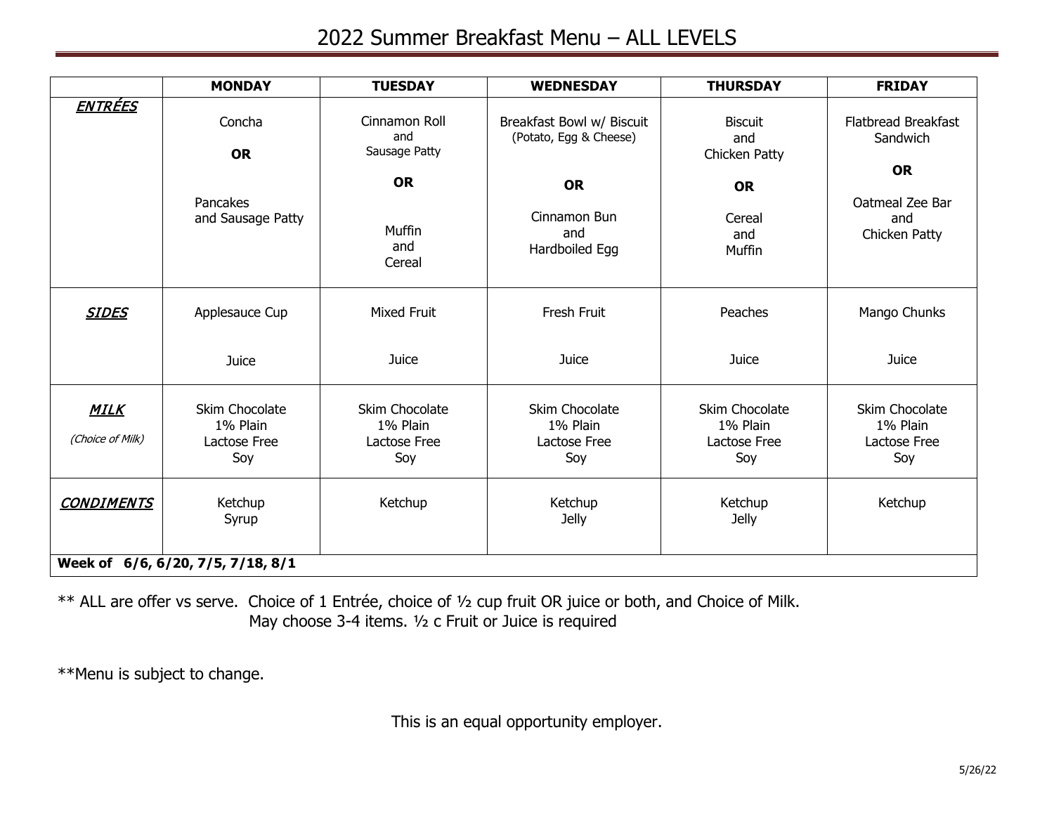## 2022 Summer Breakfast Menu – ALL LEVELS

|                                   | <b>MONDAY</b>                                     | <b>TUESDAY</b>                                    | <b>WEDNESDAY</b>                                    | <b>THURSDAY</b>                                   | <b>FRIDAY</b>                                       |  |
|-----------------------------------|---------------------------------------------------|---------------------------------------------------|-----------------------------------------------------|---------------------------------------------------|-----------------------------------------------------|--|
| <u>ENTRÉES</u>                    | Concha<br><b>OR</b>                               | Cinnamon Roll<br>and<br>Sausage Patty             | Breakfast Bowl w/ Biscuit<br>(Potato, Egg & Cheese) | <b>Biscuit</b><br>and<br>Chicken Patty            | <b>Flatbread Breakfast</b><br>Sandwich<br><b>OR</b> |  |
|                                   | Pancakes<br>and Sausage Patty                     | <b>OR</b><br>Muffin<br>and<br>Cereal              | <b>OR</b><br>Cinnamon Bun<br>and<br>Hardboiled Egg  | <b>OR</b><br>Cereal<br>and<br>Muffin              | Oatmeal Zee Bar<br>and<br>Chicken Patty             |  |
| <b>SIDES</b>                      | Applesauce Cup                                    | <b>Mixed Fruit</b>                                | Fresh Fruit                                         | Peaches                                           | Mango Chunks                                        |  |
|                                   | Juice                                             | Juice                                             | Juice                                               | Juice                                             | Juice                                               |  |
| <u>MILK</u><br>(Choice of Milk)   | Skim Chocolate<br>1% Plain<br>Lactose Free<br>Soy | Skim Chocolate<br>1% Plain<br>Lactose Free<br>Soy | Skim Chocolate<br>1% Plain<br>Lactose Free<br>Soy   | Skim Chocolate<br>1% Plain<br>Lactose Free<br>Soy | Skim Chocolate<br>1% Plain<br>Lactose Free<br>Soy   |  |
| <b>CONDIMENTS</b>                 | Ketchup<br>Syrup                                  | Ketchup                                           | Ketchup<br><b>Jelly</b>                             | Ketchup<br>Jelly                                  | Ketchup                                             |  |
| Week of 6/6, 6/20, 7/5, 7/18, 8/1 |                                                   |                                                   |                                                     |                                                   |                                                     |  |

\*\* ALL are offer vs serve. Choice of 1 Entrée, choice of ½ cup fruit OR juice or both, and Choice of Milk. May choose 3-4 items. ½ c Fruit or Juice is required

\*\*Menu is subject to change.

This is an equal opportunity employer.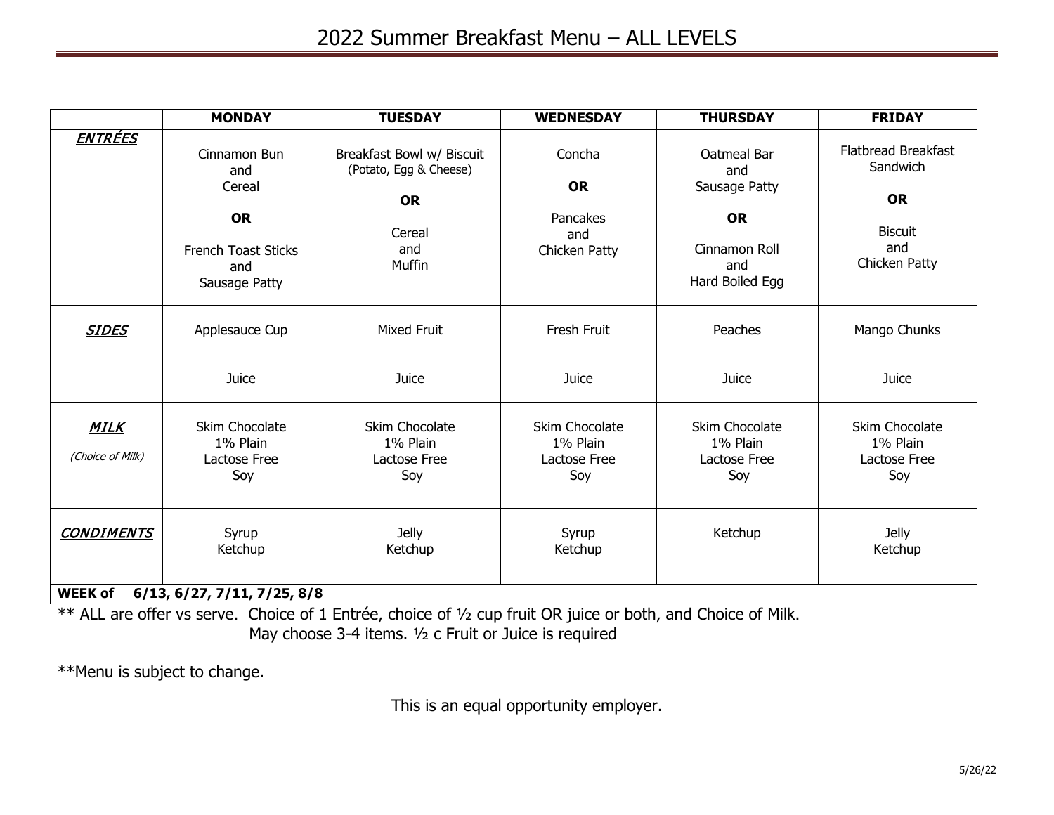|                                 | <b>MONDAY</b>                                                                                    | <b>TUESDAY</b>                                                                              | <b>WEDNESDAY</b>                                        | <b>THURSDAY</b>                                                                             | <b>FRIDAY</b>                                                                          |  |
|---------------------------------|--------------------------------------------------------------------------------------------------|---------------------------------------------------------------------------------------------|---------------------------------------------------------|---------------------------------------------------------------------------------------------|----------------------------------------------------------------------------------------|--|
| <u>ENTRÉES</u>                  | Cinnamon Bun<br>and<br>Cereal<br><b>OR</b><br><b>French Toast Sticks</b><br>and<br>Sausage Patty | Breakfast Bowl w/ Biscuit<br>(Potato, Egg & Cheese)<br><b>OR</b><br>Cereal<br>and<br>Muffin | Concha<br><b>OR</b><br>Pancakes<br>and<br>Chicken Patty | Oatmeal Bar<br>and<br>Sausage Patty<br><b>OR</b><br>Cinnamon Roll<br>and<br>Hard Boiled Egg | Flatbread Breakfast<br>Sandwich<br><b>OR</b><br><b>Biscuit</b><br>and<br>Chicken Patty |  |
| <b>SIDES</b>                    | Applesauce Cup                                                                                   | <b>Mixed Fruit</b>                                                                          | Fresh Fruit                                             | Peaches                                                                                     | Mango Chunks                                                                           |  |
|                                 | Juice                                                                                            | Juice                                                                                       | Juice                                                   | Juice                                                                                       | Juice                                                                                  |  |
| <b>MILK</b><br>(Choice of Milk) | Skim Chocolate<br>1% Plain<br>Lactose Free<br>Soy                                                | Skim Chocolate<br>1% Plain<br>Lactose Free<br>Soy                                           | Skim Chocolate<br>1% Plain<br>Lactose Free<br>Soy       | Skim Chocolate<br>1% Plain<br>Lactose Free<br>Soy                                           | Skim Chocolate<br>1% Plain<br>Lactose Free<br>Soy                                      |  |
| <b>CONDIMENTS</b>               | Syrup<br>Ketchup                                                                                 | <b>Jelly</b><br>Ketchup                                                                     | Syrup<br>Ketchup                                        | Ketchup                                                                                     | Jelly<br>Ketchup                                                                       |  |
| <b>WEEK of</b>                  | 6/13, 6/27, 7/11, 7/25, 8/8                                                                      |                                                                                             |                                                         |                                                                                             |                                                                                        |  |

\*\* ALL are offer vs serve. Choice of 1 Entrée, choice of ½ cup fruit OR juice or both, and Choice of Milk. May choose 3-4 items. ½ c Fruit or Juice is required

\*\*Menu is subject to change.

This is an equal opportunity employer.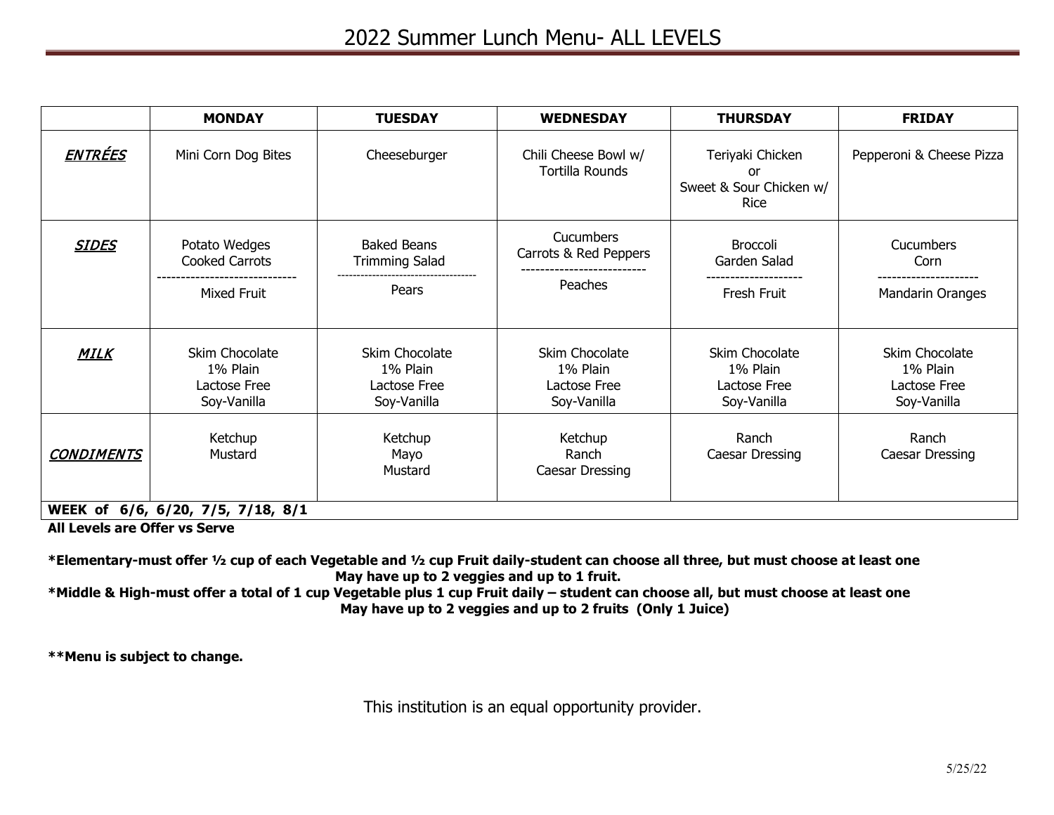|                   | <b>MONDAY</b>                                             | <b>TUESDAY</b>                                            | <b>WEDNESDAY</b>                                          | <b>THURSDAY</b>                                                  | <b>FRIDAY</b>                                             |
|-------------------|-----------------------------------------------------------|-----------------------------------------------------------|-----------------------------------------------------------|------------------------------------------------------------------|-----------------------------------------------------------|
| <b>ENTRÉES</b>    | Mini Corn Dog Bites                                       | Cheeseburger                                              | Chili Cheese Bowl w/<br>Tortilla Rounds                   | Teriyaki Chicken<br>or<br>Sweet & Sour Chicken w/<br><b>Rice</b> | Pepperoni & Cheese Pizza                                  |
| <b>SIDES</b>      | Potato Wedges<br>Cooked Carrots<br>Mixed Fruit            | <b>Baked Beans</b><br><b>Trimming Salad</b><br>Pears      | Cucumbers<br>Carrots & Red Peppers<br>Peaches             | Broccoli<br>Garden Salad<br>Fresh Fruit                          | Cucumbers<br>Corn<br>Mandarin Oranges                     |
| <b>MILK</b>       | Skim Chocolate<br>1% Plain<br>Lactose Free<br>Soy-Vanilla | Skim Chocolate<br>1% Plain<br>Lactose Free<br>Soy-Vanilla | Skim Chocolate<br>1% Plain<br>Lactose Free<br>Soy-Vanilla | Skim Chocolate<br>1% Plain<br>Lactose Free<br>Soy-Vanilla        | Skim Chocolate<br>1% Plain<br>Lactose Free<br>Soy-Vanilla |
| <b>CONDIMENTS</b> | Ketchup<br>Mustard                                        | Ketchup<br>Mayo<br>Mustard                                | Ketchup<br>Ranch<br>Caesar Dressing                       | Ranch<br>Caesar Dressing                                         | Ranch<br>Caesar Dressing                                  |
|                   | WEEK of 6/6, 6/20, 7/5, 7/18, 8/1                         |                                                           |                                                           |                                                                  |                                                           |

**All Levels are Offer vs Serve**

**\*Elementary-must offer ½ cup of each Vegetable and ½ cup Fruit daily-student can choose all three, but must choose at least one May have up to 2 veggies and up to 1 fruit.**

**\*Middle & High-must offer a total of 1 cup Vegetable plus 1 cup Fruit daily – student can choose all, but must choose at least one May have up to 2 veggies and up to 2 fruits (Only 1 Juice)**

**\*\*Menu is subject to change.**

This institution is an equal opportunity provider.